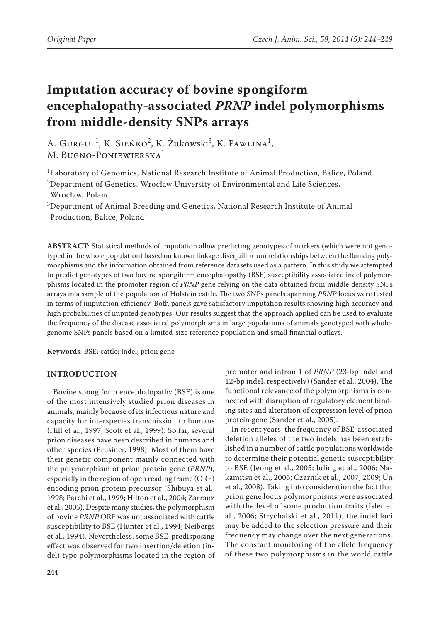# **Imputation accuracy of bovine spongiform encephalopathy-associated** *PRNP* **indel polymorphisms from middle-density SNPs arrays**

A. Gurgul<sup>1</sup>, K. Sieńko<sup>2</sup>, K. Żukowski<sup>3</sup>, K. Pawlina<sup>1</sup>, M. BUGNO-PONIEWIERSKA<sup>1</sup>

 $^{\rm 1}$ Laboratory of Genomics, National Research Institute of Animal Production, Balice, Poland <sup>2</sup>Department of Genetics, Wrocław University of Environmental and Life Sciences, Wrocław, Poland

3 Department of Animal Breeding and Genetics, National Research Institute of Animal Production, Balice, Poland

**ABSTRACT**: Statistical methods of imputation allow predicting genotypes of markers (which were not genotyped in the whole population) based on known linkage disequilibrium relationships between the flanking polymorphisms and the information obtained from reference datasets used as a pattern. In this study we attempted to predict genotypes of two bovine spongiform encephalopathy (BSE) susceptibility associated indel polymorphisms located in the promoter region of *PRNP* gene relying on the data obtained from middle density SNPs arrays in a sample of the population of Holstein cattle. The two SNPs panels spanning *PRNP* locus were tested in terms of imputation efficiency. Both panels gave satisfactory imputation results showing high accuracy and high probabilities of imputed genotypes. Our results suggest that the approach applied can be used to evaluate the frequency of the disease associated polymorphisms in large populations of animals genotyped with wholegenome SNPs panels based on a limited-size reference population and small financial outlays.

**Keywords**: BSE; cattle; indel; prion gene

## **INTRODUCTION**

Bovine spongiform encephalopathy (BSE) is one of the most intensively studied prion diseases in animals, mainly because of its infectious nature and capacity for interspecies transmission to humans (Hill et al., 1997; Scott et al., 1999). So far, several prion diseases have been described in humans and other species (Prusiner, 1998). Most of them have their genetic component mainly connected with the polymorphism of prion protein gene (*PRNP*), especially in the region of open reading frame (ORF) encoding prion protein precursor (Shibuya et al., 1998; Parchi et al., 1999; Hilton et al., 2004; Zarranz et al., 2005). Despite many studies, the polymorphism of bovine *PRNP* ORF was not associated with cattle susceptibility to BSE (Hunter et al., 1994; Neibergs et al., 1994). Nevertheless, some BSE-predisposing effect was observed for two insertion/deletion (indel) type polymorphisms located in the region of

promoter and intron 1 of *PRNP* (23-bp indel and 12-bp indel, respectively) (Sander et al., 2004). The functional relevance of the polymorphisms is connected with disruption of regulatory element binding sites and alteration of expression level of prion protein gene (Sander et al., 2005).

In recent years, the frequency of BSE-associated deletion alleles of the two indels has been established in a number of cattle populations worldwide to determine their potential genetic susceptibility to BSE (Jeong et al., 2005; Juling et al., 2006; Nakamitsu et al., 2006; Czarnik et al., 2007, 2009; Ün et al., 2008). Taking into consideration the fact that prion gene locus polymorphisms were associated with the level of some production traits (Isler et al., 2006; Strychalski et al., 2011), the indel loci may be added to the selection pressure and their frequency may change over the next generations. The constant monitoring of the allele frequency of these two polymorphisms in the world cattle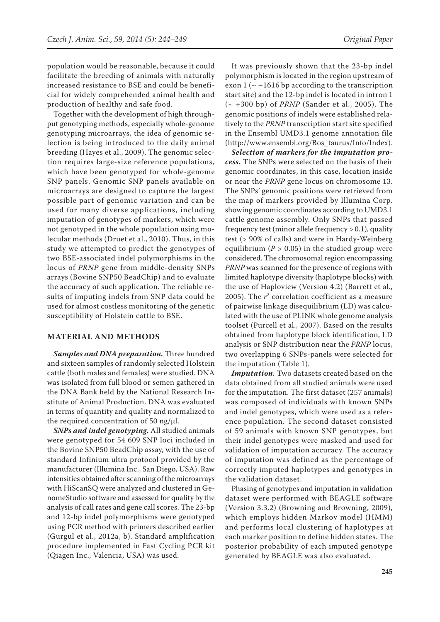population would be reasonable, because it could facilitate the breeding of animals with naturally increased resistance to BSE and could be beneficial for widely comprehended animal health and production of healthy and safe food.

Together with the development of high throughput genotyping methods, especially whole-genome genotyping microarrays, the idea of genomic selection is being introduced to the daily animal breeding (Hayes et al., 2009). The genomic selection requires large-size reference populations, which have been genotyped for whole-genome SNP panels. Genomic SNP panels available on microarrays are designed to capture the largest possible part of genomic variation and can be used for many diverse applications, including imputation of genotypes of markers, which were not genotyped in the whole population using molecular methods (Druet et al., 2010). Thus, in this study we attempted to predict the genotypes of two BSE-associated indel polymorphisms in the locus of *PRNP* gene from middle-density SNPs arrays (Bovine SNP50 BeadChip) and to evaluate the accuracy of such application. The reliable results of imputing indels from SNP data could be used for almost costless monitoring of the genetic susceptibility of Holstein cattle to BSE.

#### **MATERIAL AND METHODS**

*Samples and DNA preparation.* Three hundred and sixteen samples of randomly selected Holstein cattle (both males and females) were studied. DNA was isolated from full blood or semen gathered in the DNA Bank held by the National Research Institute of Animal Production. DNA was evaluated in terms of quantity and quality and normalized to the required concentration of 50 ng/ $\mu$ l.

*SNPs and indel genotyping.* All studied animals were genotyped for 54 609 SNP loci included in the Bovine SNP50 BeadChip assay, with the use of standard Infinium ultra protocol provided by the manufacturer (Illumina Inc., San Diego, USA). Raw intensities obtained after scanning of the microarrays with HiScanSQ were analyzed and clustered in GenomeStudio software and assessed for quality by the analysis of call rates and gene call scores. The 23-bp and 12-bp indel polymorphisms were genotyped using PCR method with primers described earlier (Gurgul et al., 2012a, b). Standard amplification procedure implemented in Fast Cycling PCR kit (Qiagen Inc., Valencia, USA) was used.

It was previously shown that the 23-bp indel polymorphism is located in the region upstream of exon  $1$  ( $\sim$  -1616 bp according to the transcription start site) and the 12-bp indel is located in intron 1 (~ +300 bp) of *PRNP* (Sander et al., 2005). The genomic positions of indels were established relatively to the *PRNP* transcription start site specified in the Ensembl UMD3.1 genome annotation file (http://www.ensembl.org/Bos\_taurus/Info/Index).

*Selection of markers for the imputation process.* The SNPs were selected on the basis of their genomic coordinates, in this case, location inside or near the *PRNP* gene locus on chromosome 13. The SNPs' genomic positions were retrieved from the map of markers provided by Illumina Corp. showing genomic coordinates according to UMD3.1 cattle genome assembly. Only SNPs that passed frequency test (minor allele frequency > 0.1), quality test (> 90% of calls) and were in Hardy-Weinberg equilibrium ( $P > 0.05$ ) in the studied group were considered. The chromosomal region encompassing *PRNP* was scanned for the presence of regions with limited haplotype diversity (haplotype blocks) with the use of Haploview (Version 4.2) (Barrett et al., 2005). The  $r^2$  correlation coefficient as a measure of pairwise linkage disequilibrium (LD) was calculated with the use of PLINK whole genome analysis toolset (Purcell et al., 2007). Based on the results obtained from haplotype block identification, LD analysis or SNP distribution near the *PRNP* locus, two overlapping 6 SNPs-panels were selected for the imputation (Table 1).

*Imputation.* Two datasets created based on the data obtained from all studied animals were used for the imputation. The first dataset (257 animals) was composed of individuals with known SNPs and indel genotypes, which were used as a reference population. The second dataset consisted of 59 animals with known SNP genotypes, but their indel genotypes were masked and used for validation of imputation accuracy. The accuracy of imputation was defined as the percentage of correctly imputed haplotypes and genotypes in the validation dataset.

Phasing of genotypes and imputation in validation dataset were performed with BEAGLE software (Version 3.3.2) (Browning and Browning, 2009), which employs hidden Markov model (HMM) and performs local clustering of haplotypes at each marker position to define hidden states. The posterior probability of each imputed genotype generated by BEAGLE was also evaluated.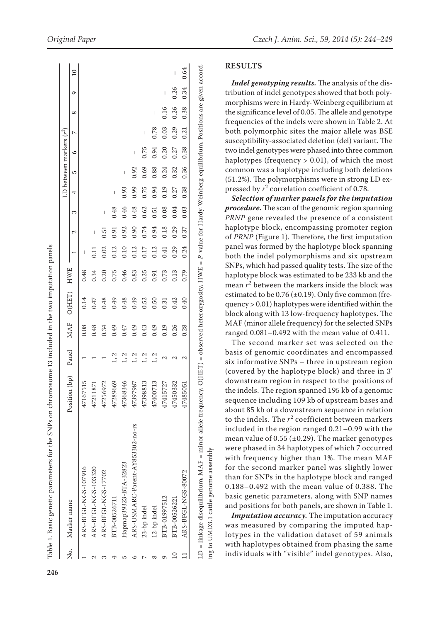|        |                                  |                     |      |            |        |            |      |      |      |      | LD between markers $(r^2)$ |      |        |            |      |                |
|--------|----------------------------------|---------------------|------|------------|--------|------------|------|------|------|------|----------------------------|------|--------|------------|------|----------------|
| s<br>Ž | Marker name                      | Position (bp) Panel |      | <b>MAF</b> | O(HET) | <b>HWE</b> |      | 2    | 3    | 4    | 5                          | G    | $\sim$ | $^{\circ}$ | ó    | $\overline{a}$ |
|        | ARS-BFGL-NGS-107916              | 47167515            |      | 0.08       | 0.14   | 0.48       | I    |      |      |      |                            |      |        |            |      |                |
|        | ARS-BFGL-NGS-103320              | 47211871            |      | 0.48       | 0.47   | 0.34       |      | I    |      |      |                            |      |        |            |      |                |
|        | ARS-BFGL-NGS-17702               | 47256972            |      | 0.34       | 0.48   | 0.20       | 0.02 | 51   | I    |      |                            |      |        |            |      |                |
|        | BTB-00526711                     | 47289669            | 1, 2 | 0.49       | 0.49   | 0.75       | 0.12 | 0.91 | 0.48 | I    |                            |      |        |            |      |                |
|        | Hapmap39323-BTA-32823            | 47368346            | 1, 2 | 0.47       | 0.48   | 0.46       | 0.10 | 0.92 | 0.46 | 0.93 | I                          |      |        |            |      |                |
|        | ARS-USMARC-Parent-AY853302-no-rs | 47397987            | 1, 2 | 0.49       | 0.49   | 0.83       | 0.12 | 0.90 | 0.48 | 0.99 | 0.92                       | I    |        |            |      |                |
|        | 23-bp indel                      | 47398813            | 1, 2 | 0.43       | 0.52   | 0.25       | 0.17 | 0.74 | 0.62 | 0.75 | 0.69                       | 0.75 | I      |            |      |                |
|        | 12-bp indel                      | 47400713            |      | 0.49       | 0.50   | 0.91       | 0.12 | 0.94 | 0.51 | 0.94 | 0.88                       | 0.94 | 0.78   | I          |      |                |
|        | BTB-01997512                     | 47415727            |      | 0.19       | 0.31   | 0.73       | 0.41 | 0.18 | 0.08 | 0.19 | 0.24                       | 0.20 | 0.03   | 0.16       | I    |                |
|        | BTB-00526221                     | 47450332            |      | 0.26       | 0.42   | 0.13       | 0.29 | 0.29 | 0.04 | 0.27 | 0.32                       | 0.27 | 0.29   | 0.26       | 0.26 | I              |
|        | ARS-BFGL-NGS-80072               | 47485051            | 2    | 0.28       | 0.40   | 0.79       | 0.24 | 0.37 | 0.03 | 0.38 | 0.36                       | 0.38 | 0.21   | 0.38       | 0.34 | 0.64           |

LD = linkage disequilibrium, MAF = minor allele frequency, O(HET) = observed heterozygosity, HWE = *P*-value for Hardy-Weinberg equilibrium. Positions are given accordŋ á  $\ddot{ }$ ₹ ng to UMD3.1 cattle genome assembly ing to UMD3.1 cattle genome assembly

*Original Paper Czech J. Anim. Sci., 59, 2014 (5): 244–249*

## **RESULTS**

*Indel genotyping results.* The analysis of the dis tribution of indel genotypes showed that both poly morphisms were in Hardy-Weinberg equilibrium at the significance level of 0.05. The allele and genotype frequencies of the indels were shown in Table 2. At both polymorphic sites the major allele was BSE susceptibility-associated deletion (del) variant. The two indel genotypes were phased into three common haplotypes (frequency > 0.01), of which the most common was a haplotype including both deletions (51.2%). The polymorphisms were in strong LD ex pressed by  $r^2$  correlation coefficient of 0.78.

*Selection of marker panels for the imputation procedure.* The scan of the genomic region spanning *PRNP* gene revealed the presence of a consistent haplotype block, encompassing promoter region of *PRNP* (Figure 1). Therefore, the first imputation panel was formed by the haplotype block spanning both the indel polymorphisms and six upstream SNPs, which had passed quality tests. The size of the haplotype block was estimated to be 233 kb and the mean  $r^2$  between the markers inside the block was estimated to be  $0.76 \, (\pm 0.19)$ . Only five common (frequency > 0.01) haplotypes were identified within the block along with 13 low-frequency haplotypes. The MAF (minor allele frequency) for the selected SNPs ranged 0.081–0.492 with the mean value of 0.411.

The second marker set was selected on the basis of genomic coordinates and encompassed six informative SNPs – three in upstream region (covered by the haplotype block) and three in 3' downstream region in respect to the positions of the indels. The region spanned 195 kb of a genomic sequence including 109 kb of upstream bases and about 85 kb of a downstream sequence in relation to the indels. The  $r^2$  coefficient between markers included in the region ranged 0.21–0.99 with the mean value of  $0.55$  ( $\pm 0.29$ ). The marker genotypes were phased in 34 haplotypes of which 7 occurred with frequency higher than 1%. The mean MAF for the second marker panel was slightly lower than for SNPs in the haplotype block and ranged 0.188–0.492 with the mean value of 0.388. The basic genetic parameters, along with SNP names and positions for both panels, are shown in Table 1.

*Imputation accuracy.* The imputation accuracy was measured by comparing the imputed hap lotypes in the validation dataset of 59 animals with haplotypes obtained from phasing the same individuals with "visible" indel genotypes. Also,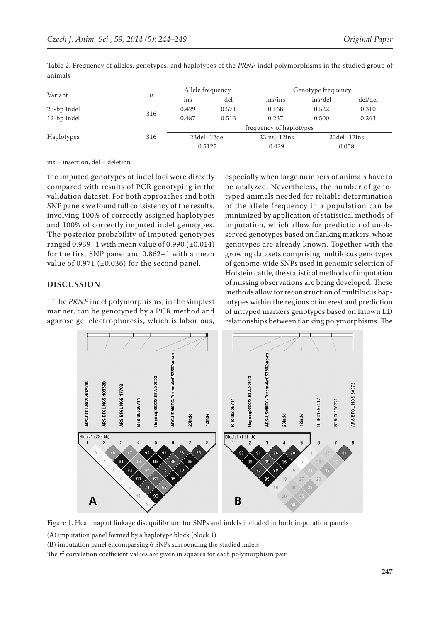| Variant     |     | Allele frequency        |       |               | Genotype frequency |                    |  |
|-------------|-----|-------------------------|-------|---------------|--------------------|--------------------|--|
|             | n   | ins                     | del   | ins/ins       | ins/del            | del/del            |  |
| 23-bp Indel |     | 0.429                   | 0.571 | 0.168         | 0.522              | 0.310              |  |
| 12-bp Indel | 316 | 0.487                   | 0.513 | 0.237         | 0.500              | 0.263              |  |
| Haplotypes  |     | frequency of haplotypes |       |               |                    |                    |  |
|             | 316 | $23$ del $-12$ del      |       | $23ins-12ins$ |                    | $23$ del $-12$ ins |  |
|             |     | 0.5127                  |       | 0.429         |                    | 0.058              |  |

Table 2. Frequency of alleles, genotypes, and haplotypes of the *PRNP* indel polymorphisms in the studied group of animals

ins = insertion, del = deletion

the imputed genotypes at indel loci were directly compared with results of PCR genotyping in the validation dataset. For both approaches and both SNP panels we found full consistency of the results, involving 100% of correctly assigned haplotypes and 100% of correctly imputed indel genotypes. The posterior probability of imputed genotypes ranged  $0.939-1$  with mean value of  $0.990$  ( $\pm 0.014$ ) for the first SNP panel and 0.862–1 with a mean value of 0.971 ( $\pm$ 0.036) for the second panel.

#### **DISCUSSION**

The *PRNP* indel polymorphisms, in the simplest manner, can be genotyped by a PCR method and agarose gel electrophoresis, which is laborious,

especially when large numbers of animals have to be analyzed. Nevertheless, the number of genotyped animals needed for reliable determination of the allele frequency in a population can be minimized by application of statistical methods of imputation, which allow for prediction of unobserved genotypes based on flanking markers, whose genotypes are already known. Together with the growing datasets comprising multilocus genotypes of genome-wide SNPs used in genomic selection of Holstein cattle, the statistical methods of imputation of missing observations are being developed. These methods allow for reconstruction of multilocus haplotypes within the regions of interest and prediction of untyped markers genotypes based on known LD relationships between flanking polymorphisms. The



Figure 1. Heat map of linkage disequilibrium for SNPs and indels included in both imputation panels

(**A**) imputation panel formed by a haplotype block (block 1)

(**B**) imputation panel encompassing 6 SNPs surrounding the studied indels

The  $r^2$  correlation coefficient values are given in squares for each polymorphism pair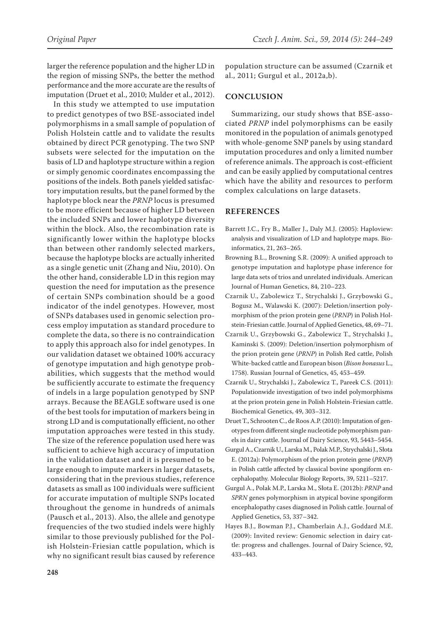larger the reference population and the higher LD in the region of missing SNPs, the better the method performance and the more accurate are the results of imputation (Druet et al., 2010; Mulder et al., 2012).

In this study we attempted to use imputation to predict genotypes of two BSE-associated indel polymorphisms in a small sample of population of Polish Holstein cattle and to validate the results obtained by direct PCR genotyping. The two SNP subsets were selected for the imputation on the basis of LD and haplotype structure within a region or simply genomic coordinates encompassing the positions of the indels. Both panels yielded satisfactory imputation results, but the panel formed by the haplotype block near the *PRNP* locus is presumed to be more efficient because of higher LD between the included SNPs and lower haplotype diversity within the block. Also, the recombination rate is significantly lower within the haplotype blocks than between other randomly selected markers, because the haplotype blocks are actually inherited as a single genetic unit (Zhang and Niu, 2010). On the other hand, considerable LD in this region may question the need for imputation as the presence of certain SNPs combination should be a good indicator of the indel genotypes. However, most of SNPs databases used in genomic selection process employ imputation as standard procedure to complete the data, so there is no contraindication to apply this approach also for indel genotypes. In our validation dataset we obtained 100% accuracy of genotype imputation and high genotype probabilities, which suggests that the method would be sufficiently accurate to estimate the frequency of indels in a large population genotyped by SNP arrays. Because the BEAGLE software used is one of the best tools for imputation of markers being in strong LD and is computationally efficient, no other imputation approaches were tested in this study. The size of the reference population used here was sufficient to achieve high accuracy of imputation in the validation dataset and it is presumed to be large enough to impute markers in larger datasets, considering that in the previous studies, reference datasets as small as 100 individuals were sufficient for accurate imputation of multiple SNPs located throughout the genome in hundreds of animals (Pausch et al., 2013). Also, the allele and genotype frequencies of the two studied indels were highly similar to those previously published for the Polish Holstein-Friesian cattle population, which is why no significant result bias caused by reference

population structure can be assumed (Czarnik et al., 2011; Gurgul et al., 2012a,b).

### **CONCLUSION**

Summarizing, our study shows that BSE-associated *PRNP* indel polymorphisms can be easily monitored in the population of animals genotyped with whole-genome SNP panels by using standard imputation procedures and only a limited number of reference animals. The approach is cost-efficient and can be easily applied by computational centres which have the ability and resources to perform complex calculations on large datasets.

#### **REFERENCES**

- Barrett J.C., Fry B., Maller J., Daly M.J. (2005): Haploview: analysis and visualization of LD and haplotype maps. Bioinformatics, 21, 263–265.
- Browning B.L., Browning S.R. (2009): A unified approach to genotype imputation and haplotype phase inference for large data sets of trios and unrelated individuals. American Journal of Human Genetics, 84, 210–223.
- Czarnik U., Zabolewicz T., Strychalski J., Grzybowski G., Bogusz M., Walawski K. (2007): Deletion/insertion polymorphism of the prion protein gene (*PRNP*) in Polish Holstein-Friesian cattle. Journal of Applied Genetics, 48, 69–71.
- Czarnik U., Grzybowski G., Zabolewicz T., Strychalski J., Kaminski S. (2009): Deletion/insertion polymorphism of the prion protein gene (*PRNP*) in Polish Red cattle, Polish White-backed cattle and European bison (*Bison bonasus* L., 1758). Russian Journal of Genetics, 45, 453–459.
- Czarnik U., Strychalski J., Zabolewicz T., Pareek C.S. (2011): Populationwide investigation of two indel polymorphisms at the prion protein gene in Polish Holstein-Friesian cattle. Biochemical Genetics, 49, 303–312.
- Druet T., Schrooten C., de Roos A.P. (2010): Imputation of genotypes from different single nucleotide polymorphism panels in dairy cattle. Journal of Dairy Science, 93, 5443–5454.
- Gurgul A., Czarnik U., Larska M., Polak M.P., Strychalski J., Słota E. (2012a): Polymorphism of the prion protein gene (*PRNP*) in Polish cattle affected by classical bovine spongiform encephalopathy. Molecular Biology Reports, 39, 5211–5217.
- Gurgul A., Polak M.P., Larska M., Słota E. (2012b): *PRNP* and *SPRN* genes polymorphism in atypical bovine spongiform encephalopathy cases diagnosed in Polish cattle. Journal of Applied Genetics, 53, 337–342.
- Hayes B.J., Bowman P.J., Chamberlain A.J., Goddard M.E. (2009): Invited review: Genomic selection in dairy cattle: progress and challenges. Journal of Dairy Science, 92, 433–443.